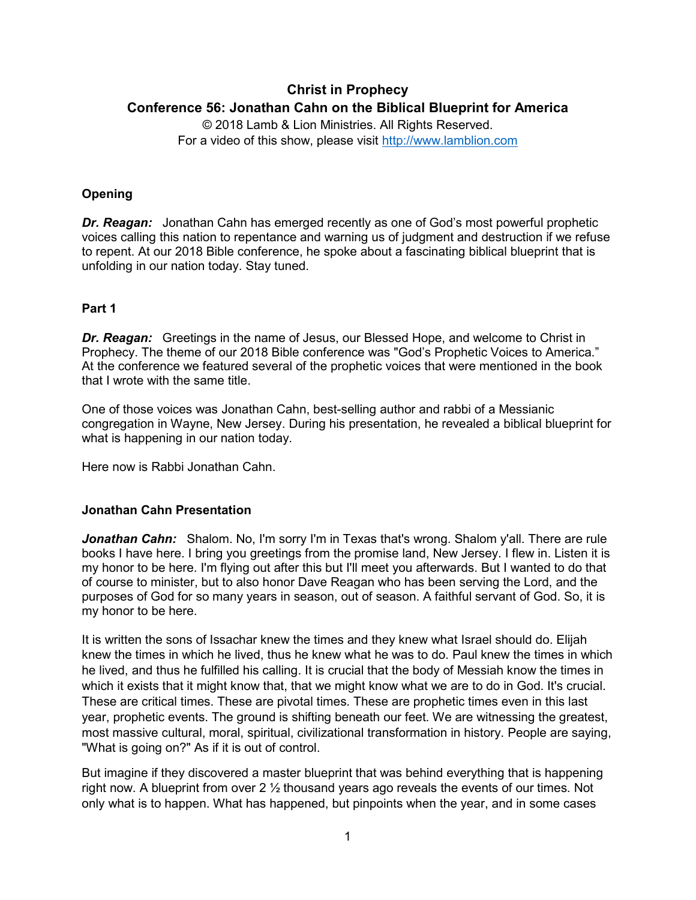# **Christ in Prophecy Conference 56: Jonathan Cahn on the Biblical Blueprint for America**

© 2018 Lamb & Lion Ministries. All Rights Reserved. For a video of this show, please visit [http://www.lamblion.com](http://www.lamblion.com/)

## **Opening**

**Dr. Reagan:** Jonathan Cahn has emerged recently as one of God's most powerful prophetic voices calling this nation to repentance and warning us of judgment and destruction if we refuse to repent. At our 2018 Bible conference, he spoke about a fascinating biblical blueprint that is unfolding in our nation today. Stay tuned.

### **Part 1**

**Dr. Reagan:** Greetings in the name of Jesus, our Blessed Hope, and welcome to Christ in Prophecy. The theme of our 2018 Bible conference was "God's Prophetic Voices to America." At the conference we featured several of the prophetic voices that were mentioned in the book that I wrote with the same title.

One of those voices was Jonathan Cahn, best-selling author and rabbi of a Messianic congregation in Wayne, New Jersey. During his presentation, he revealed a biblical blueprint for what is happening in our nation today.

Here now is Rabbi Jonathan Cahn.

### **Jonathan Cahn Presentation**

*Jonathan Cahn:* Shalom. No, I'm sorry I'm in Texas that's wrong. Shalom y'all. There are rule books I have here. I bring you greetings from the promise land, New Jersey. I flew in. Listen it is my honor to be here. I'm flying out after this but I'll meet you afterwards. But I wanted to do that of course to minister, but to also honor Dave Reagan who has been serving the Lord, and the purposes of God for so many years in season, out of season. A faithful servant of God. So, it is my honor to be here.

It is written the sons of Issachar knew the times and they knew what Israel should do. Elijah knew the times in which he lived, thus he knew what he was to do. Paul knew the times in which he lived, and thus he fulfilled his calling. It is crucial that the body of Messiah know the times in which it exists that it might know that, that we might know what we are to do in God. It's crucial. These are critical times. These are pivotal times. These are prophetic times even in this last year, prophetic events. The ground is shifting beneath our feet. We are witnessing the greatest, most massive cultural, moral, spiritual, civilizational transformation in history. People are saying, "What is going on?" As if it is out of control.

But imagine if they discovered a master blueprint that was behind everything that is happening right now. A blueprint from over 2 ½ thousand years ago reveals the events of our times. Not only what is to happen. What has happened, but pinpoints when the year, and in some cases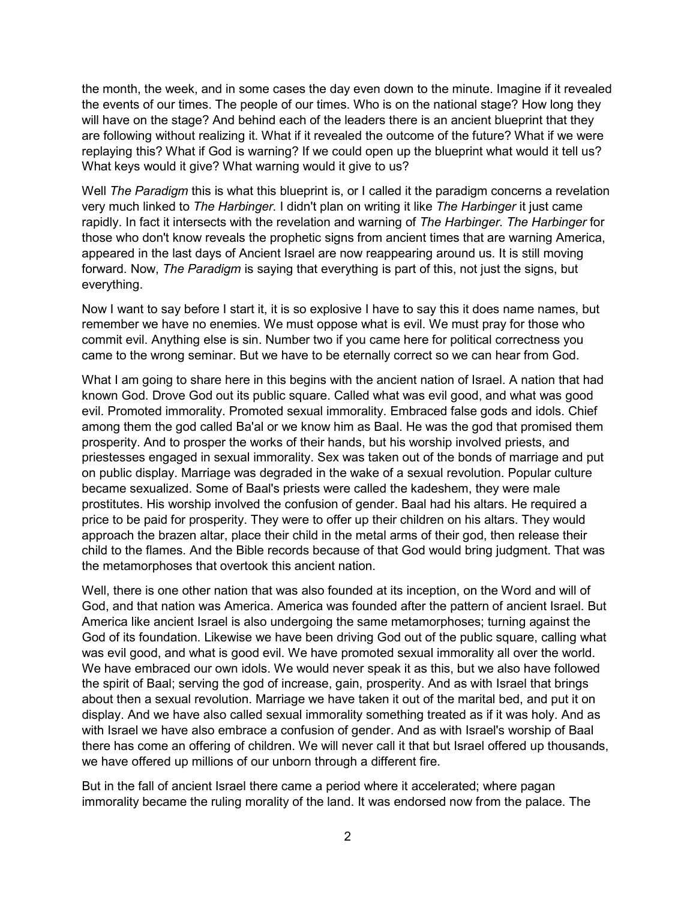the month, the week, and in some cases the day even down to the minute. Imagine if it revealed the events of our times. The people of our times. Who is on the national stage? How long they will have on the stage? And behind each of the leaders there is an ancient blueprint that they are following without realizing it. What if it revealed the outcome of the future? What if we were replaying this? What if God is warning? If we could open up the blueprint what would it tell us? What keys would it give? What warning would it give to us?

Well *The Paradigm* this is what this blueprint is, or I called it the paradigm concerns a revelation very much linked to *The Harbinger.* I didn't plan on writing it like *The Harbinger* it just came rapidly. In fact it intersects with the revelation and warning of *The Harbinger. The Harbinger* for those who don't know reveals the prophetic signs from ancient times that are warning America, appeared in the last days of Ancient Israel are now reappearing around us. It is still moving forward. Now, *The Paradigm* is saying that everything is part of this, not just the signs, but everything.

Now I want to say before I start it, it is so explosive I have to say this it does name names, but remember we have no enemies. We must oppose what is evil. We must pray for those who commit evil. Anything else is sin. Number two if you came here for political correctness you came to the wrong seminar. But we have to be eternally correct so we can hear from God.

What I am going to share here in this begins with the ancient nation of Israel. A nation that had known God. Drove God out its public square. Called what was evil good, and what was good evil. Promoted immorality. Promoted sexual immorality. Embraced false gods and idols. Chief among them the god called Ba'al or we know him as Baal. He was the god that promised them prosperity. And to prosper the works of their hands, but his worship involved priests, and priestesses engaged in sexual immorality. Sex was taken out of the bonds of marriage and put on public display. Marriage was degraded in the wake of a sexual revolution. Popular culture became sexualized. Some of Baal's priests were called the kadeshem, they were male prostitutes. His worship involved the confusion of gender. Baal had his altars. He required a price to be paid for prosperity. They were to offer up their children on his altars. They would approach the brazen altar, place their child in the metal arms of their god, then release their child to the flames. And the Bible records because of that God would bring judgment. That was the metamorphoses that overtook this ancient nation.

Well, there is one other nation that was also founded at its inception, on the Word and will of God, and that nation was America. America was founded after the pattern of ancient Israel. But America like ancient Israel is also undergoing the same metamorphoses; turning against the God of its foundation. Likewise we have been driving God out of the public square, calling what was evil good, and what is good evil. We have promoted sexual immorality all over the world. We have embraced our own idols. We would never speak it as this, but we also have followed the spirit of Baal; serving the god of increase, gain, prosperity. And as with Israel that brings about then a sexual revolution. Marriage we have taken it out of the marital bed, and put it on display. And we have also called sexual immorality something treated as if it was holy. And as with Israel we have also embrace a confusion of gender. And as with Israel's worship of Baal there has come an offering of children. We will never call it that but Israel offered up thousands, we have offered up millions of our unborn through a different fire.

But in the fall of ancient Israel there came a period where it accelerated; where pagan immorality became the ruling morality of the land. It was endorsed now from the palace. The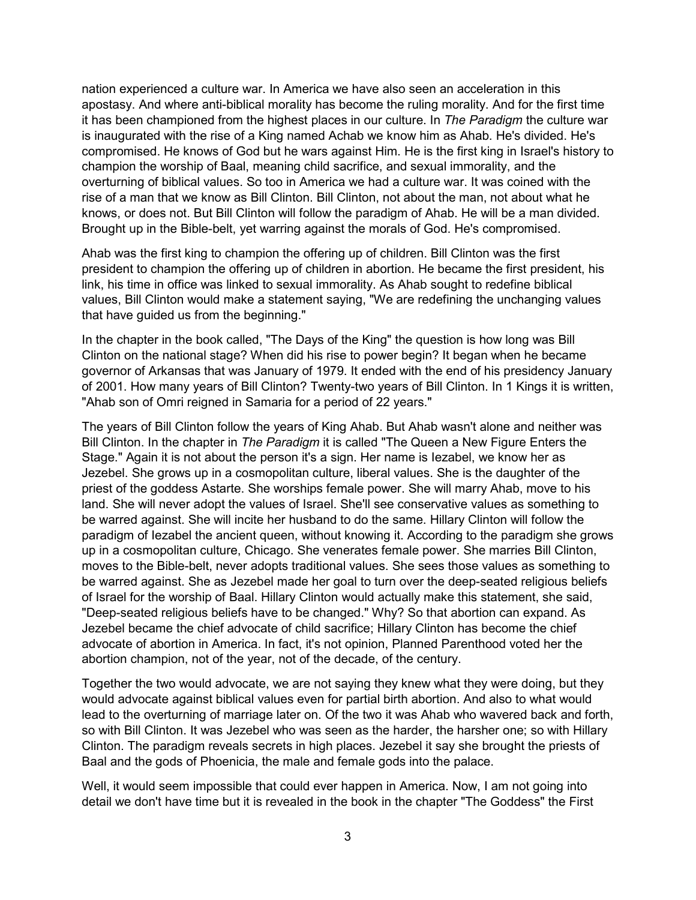nation experienced a culture war. In America we have also seen an acceleration in this apostasy. And where anti-biblical morality has become the ruling morality. And for the first time it has been championed from the highest places in our culture. In *The Paradigm* the culture war is inaugurated with the rise of a King named Achab we know him as Ahab. He's divided. He's compromised. He knows of God but he wars against Him. He is the first king in Israel's history to champion the worship of Baal, meaning child sacrifice, and sexual immorality, and the overturning of biblical values. So too in America we had a culture war. It was coined with the rise of a man that we know as Bill Clinton. Bill Clinton, not about the man, not about what he knows, or does not. But Bill Clinton will follow the paradigm of Ahab. He will be a man divided. Brought up in the Bible-belt, yet warring against the morals of God. He's compromised.

Ahab was the first king to champion the offering up of children. Bill Clinton was the first president to champion the offering up of children in abortion. He became the first president, his link, his time in office was linked to sexual immorality. As Ahab sought to redefine biblical values, Bill Clinton would make a statement saying, "We are redefining the unchanging values that have guided us from the beginning."

In the chapter in the book called, "The Days of the King" the question is how long was Bill Clinton on the national stage? When did his rise to power begin? It began when he became governor of Arkansas that was January of 1979. It ended with the end of his presidency January of 2001. How many years of Bill Clinton? Twenty-two years of Bill Clinton. In 1 Kings it is written, "Ahab son of Omri reigned in Samaria for a period of 22 years."

The years of Bill Clinton follow the years of King Ahab. But Ahab wasn't alone and neither was Bill Clinton. In the chapter in *The Paradigm* it is called "The Queen a New Figure Enters the Stage." Again it is not about the person it's a sign. Her name is Iezabel, we know her as Jezebel. She grows up in a cosmopolitan culture, liberal values. She is the daughter of the priest of the goddess Astarte. She worships female power. She will marry Ahab, move to his land. She will never adopt the values of Israel. She'll see conservative values as something to be warred against. She will incite her husband to do the same. Hillary Clinton will follow the paradigm of Iezabel the ancient queen, without knowing it. According to the paradigm she grows up in a cosmopolitan culture, Chicago. She venerates female power. She marries Bill Clinton, moves to the Bible-belt, never adopts traditional values. She sees those values as something to be warred against. She as Jezebel made her goal to turn over the deep-seated religious beliefs of Israel for the worship of Baal. Hillary Clinton would actually make this statement, she said, "Deep-seated religious beliefs have to be changed." Why? So that abortion can expand. As Jezebel became the chief advocate of child sacrifice; Hillary Clinton has become the chief advocate of abortion in America. In fact, it's not opinion, Planned Parenthood voted her the abortion champion, not of the year, not of the decade, of the century.

Together the two would advocate, we are not saying they knew what they were doing, but they would advocate against biblical values even for partial birth abortion. And also to what would lead to the overturning of marriage later on. Of the two it was Ahab who wavered back and forth, so with Bill Clinton. It was Jezebel who was seen as the harder, the harsher one; so with Hillary Clinton. The paradigm reveals secrets in high places. Jezebel it say she brought the priests of Baal and the gods of Phoenicia, the male and female gods into the palace.

Well, it would seem impossible that could ever happen in America. Now, I am not going into detail we don't have time but it is revealed in the book in the chapter "The Goddess" the First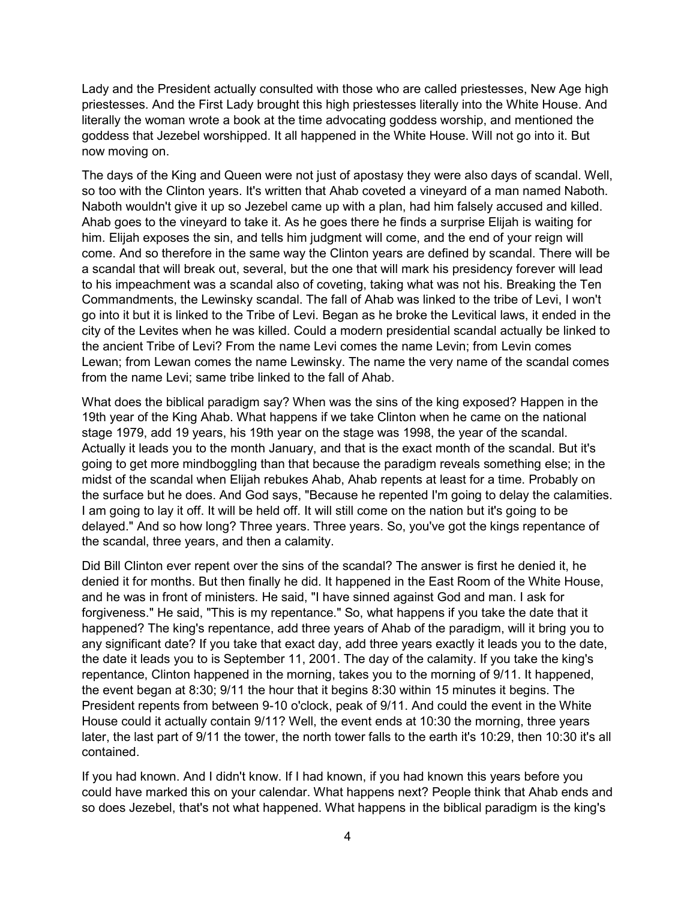Lady and the President actually consulted with those who are called priestesses, New Age high priestesses. And the First Lady brought this high priestesses literally into the White House. And literally the woman wrote a book at the time advocating goddess worship, and mentioned the goddess that Jezebel worshipped. It all happened in the White House. Will not go into it. But now moving on.

The days of the King and Queen were not just of apostasy they were also days of scandal. Well, so too with the Clinton years. It's written that Ahab coveted a vineyard of a man named Naboth. Naboth wouldn't give it up so Jezebel came up with a plan, had him falsely accused and killed. Ahab goes to the vineyard to take it. As he goes there he finds a surprise Elijah is waiting for him. Elijah exposes the sin, and tells him judgment will come, and the end of your reign will come. And so therefore in the same way the Clinton years are defined by scandal. There will be a scandal that will break out, several, but the one that will mark his presidency forever will lead to his impeachment was a scandal also of coveting, taking what was not his. Breaking the Ten Commandments, the Lewinsky scandal. The fall of Ahab was linked to the tribe of Levi, I won't go into it but it is linked to the Tribe of Levi. Began as he broke the Levitical laws, it ended in the city of the Levites when he was killed. Could a modern presidential scandal actually be linked to the ancient Tribe of Levi? From the name Levi comes the name Levin; from Levin comes Lewan; from Lewan comes the name Lewinsky. The name the very name of the scandal comes from the name Levi; same tribe linked to the fall of Ahab.

What does the biblical paradigm say? When was the sins of the king exposed? Happen in the 19th year of the King Ahab. What happens if we take Clinton when he came on the national stage 1979, add 19 years, his 19th year on the stage was 1998, the year of the scandal. Actually it leads you to the month January, and that is the exact month of the scandal. But it's going to get more mindboggling than that because the paradigm reveals something else; in the midst of the scandal when Elijah rebukes Ahab, Ahab repents at least for a time. Probably on the surface but he does. And God says, "Because he repented I'm going to delay the calamities. I am going to lay it off. It will be held off. It will still come on the nation but it's going to be delayed." And so how long? Three years. Three years. So, you've got the kings repentance of the scandal, three years, and then a calamity.

Did Bill Clinton ever repent over the sins of the scandal? The answer is first he denied it, he denied it for months. But then finally he did. It happened in the East Room of the White House, and he was in front of ministers. He said, "I have sinned against God and man. I ask for forgiveness." He said, "This is my repentance." So, what happens if you take the date that it happened? The king's repentance, add three years of Ahab of the paradigm, will it bring you to any significant date? If you take that exact day, add three years exactly it leads you to the date, the date it leads you to is September 11, 2001. The day of the calamity. If you take the king's repentance, Clinton happened in the morning, takes you to the morning of 9/11. It happened, the event began at 8:30; 9/11 the hour that it begins 8:30 within 15 minutes it begins. The President repents from between 9-10 o'clock, peak of 9/11. And could the event in the White House could it actually contain 9/11? Well, the event ends at 10:30 the morning, three years later, the last part of 9/11 the tower, the north tower falls to the earth it's 10:29, then 10:30 it's all contained.

If you had known. And I didn't know. If I had known, if you had known this years before you could have marked this on your calendar. What happens next? People think that Ahab ends and so does Jezebel, that's not what happened. What happens in the biblical paradigm is the king's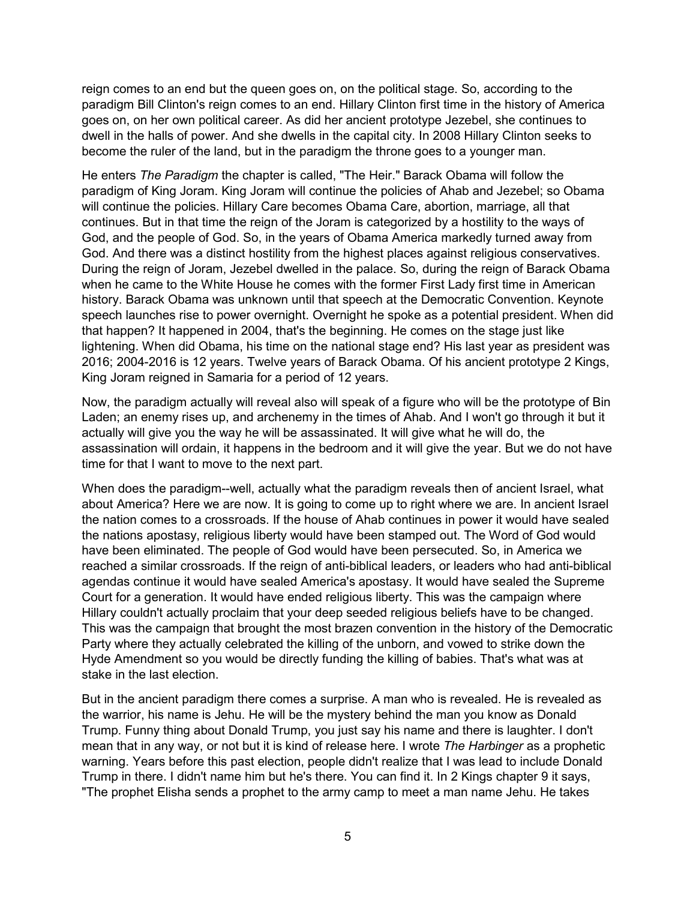reign comes to an end but the queen goes on, on the political stage. So, according to the paradigm Bill Clinton's reign comes to an end. Hillary Clinton first time in the history of America goes on, on her own political career. As did her ancient prototype Jezebel, she continues to dwell in the halls of power. And she dwells in the capital city. In 2008 Hillary Clinton seeks to become the ruler of the land, but in the paradigm the throne goes to a younger man.

He enters *The Paradigm* the chapter is called, "The Heir." Barack Obama will follow the paradigm of King Joram. King Joram will continue the policies of Ahab and Jezebel; so Obama will continue the policies. Hillary Care becomes Obama Care, abortion, marriage, all that continues. But in that time the reign of the Joram is categorized by a hostility to the ways of God, and the people of God. So, in the years of Obama America markedly turned away from God. And there was a distinct hostility from the highest places against religious conservatives. During the reign of Joram, Jezebel dwelled in the palace. So, during the reign of Barack Obama when he came to the White House he comes with the former First Lady first time in American history. Barack Obama was unknown until that speech at the Democratic Convention. Keynote speech launches rise to power overnight. Overnight he spoke as a potential president. When did that happen? It happened in 2004, that's the beginning. He comes on the stage just like lightening. When did Obama, his time on the national stage end? His last year as president was 2016; 2004-2016 is 12 years. Twelve years of Barack Obama. Of his ancient prototype 2 Kings, King Joram reigned in Samaria for a period of 12 years.

Now, the paradigm actually will reveal also will speak of a figure who will be the prototype of Bin Laden; an enemy rises up, and archenemy in the times of Ahab. And I won't go through it but it actually will give you the way he will be assassinated. It will give what he will do, the assassination will ordain, it happens in the bedroom and it will give the year. But we do not have time for that I want to move to the next part.

When does the paradigm--well, actually what the paradigm reveals then of ancient Israel, what about America? Here we are now. It is going to come up to right where we are. In ancient Israel the nation comes to a crossroads. If the house of Ahab continues in power it would have sealed the nations apostasy, religious liberty would have been stamped out. The Word of God would have been eliminated. The people of God would have been persecuted. So, in America we reached a similar crossroads. If the reign of anti-biblical leaders, or leaders who had anti-biblical agendas continue it would have sealed America's apostasy. It would have sealed the Supreme Court for a generation. It would have ended religious liberty. This was the campaign where Hillary couldn't actually proclaim that your deep seeded religious beliefs have to be changed. This was the campaign that brought the most brazen convention in the history of the Democratic Party where they actually celebrated the killing of the unborn, and vowed to strike down the Hyde Amendment so you would be directly funding the killing of babies. That's what was at stake in the last election.

But in the ancient paradigm there comes a surprise. A man who is revealed. He is revealed as the warrior, his name is Jehu. He will be the mystery behind the man you know as Donald Trump. Funny thing about Donald Trump, you just say his name and there is laughter. I don't mean that in any way, or not but it is kind of release here. I wrote *The Harbinger* as a prophetic warning. Years before this past election, people didn't realize that I was lead to include Donald Trump in there. I didn't name him but he's there. You can find it. In 2 Kings chapter 9 it says, "The prophet Elisha sends a prophet to the army camp to meet a man name Jehu. He takes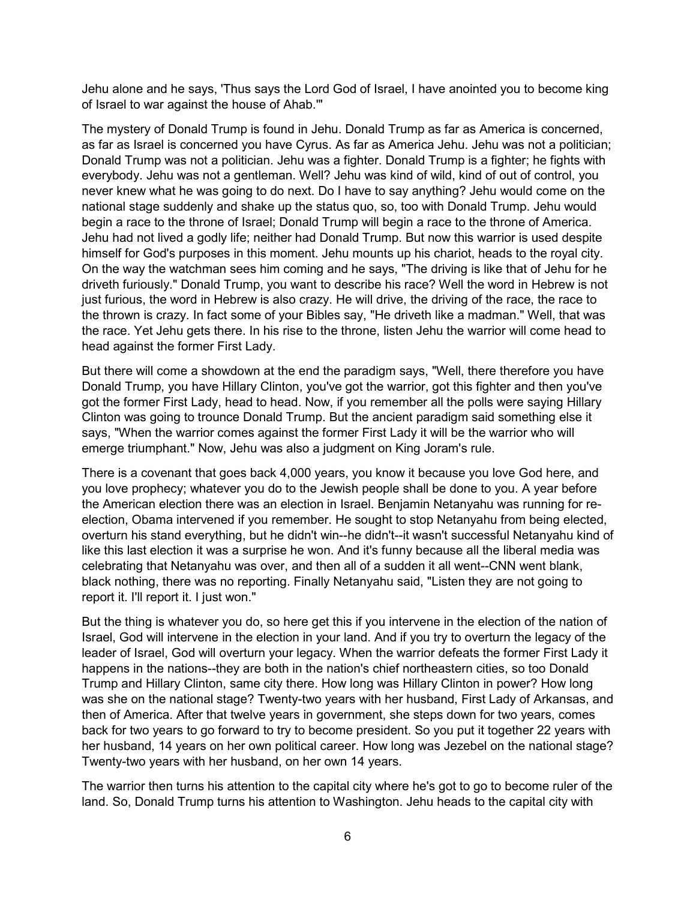Jehu alone and he says, 'Thus says the Lord God of Israel, I have anointed you to become king of Israel to war against the house of Ahab.'"

The mystery of Donald Trump is found in Jehu. Donald Trump as far as America is concerned, as far as Israel is concerned you have Cyrus. As far as America Jehu. Jehu was not a politician; Donald Trump was not a politician. Jehu was a fighter. Donald Trump is a fighter; he fights with everybody. Jehu was not a gentleman. Well? Jehu was kind of wild, kind of out of control, you never knew what he was going to do next. Do I have to say anything? Jehu would come on the national stage suddenly and shake up the status quo, so, too with Donald Trump. Jehu would begin a race to the throne of Israel; Donald Trump will begin a race to the throne of America. Jehu had not lived a godly life; neither had Donald Trump. But now this warrior is used despite himself for God's purposes in this moment. Jehu mounts up his chariot, heads to the royal city. On the way the watchman sees him coming and he says, "The driving is like that of Jehu for he driveth furiously." Donald Trump, you want to describe his race? Well the word in Hebrew is not just furious, the word in Hebrew is also crazy. He will drive, the driving of the race, the race to the thrown is crazy. In fact some of your Bibles say, "He driveth like a madman." Well, that was the race. Yet Jehu gets there. In his rise to the throne, listen Jehu the warrior will come head to head against the former First Lady.

But there will come a showdown at the end the paradigm says, "Well, there therefore you have Donald Trump, you have Hillary Clinton, you've got the warrior, got this fighter and then you've got the former First Lady, head to head. Now, if you remember all the polls were saying Hillary Clinton was going to trounce Donald Trump. But the ancient paradigm said something else it says, "When the warrior comes against the former First Lady it will be the warrior who will emerge triumphant." Now, Jehu was also a judgment on King Joram's rule.

There is a covenant that goes back 4,000 years, you know it because you love God here, and you love prophecy; whatever you do to the Jewish people shall be done to you. A year before the American election there was an election in Israel. Benjamin Netanyahu was running for reelection, Obama intervened if you remember. He sought to stop Netanyahu from being elected, overturn his stand everything, but he didn't win--he didn't--it wasn't successful Netanyahu kind of like this last election it was a surprise he won. And it's funny because all the liberal media was celebrating that Netanyahu was over, and then all of a sudden it all went--CNN went blank, black nothing, there was no reporting. Finally Netanyahu said, "Listen they are not going to report it. I'll report it. I just won."

But the thing is whatever you do, so here get this if you intervene in the election of the nation of Israel, God will intervene in the election in your land. And if you try to overturn the legacy of the leader of Israel, God will overturn your legacy. When the warrior defeats the former First Lady it happens in the nations--they are both in the nation's chief northeastern cities, so too Donald Trump and Hillary Clinton, same city there. How long was Hillary Clinton in power? How long was she on the national stage? Twenty-two years with her husband, First Lady of Arkansas, and then of America. After that twelve years in government, she steps down for two years, comes back for two years to go forward to try to become president. So you put it together 22 years with her husband, 14 years on her own political career. How long was Jezebel on the national stage? Twenty-two years with her husband, on her own 14 years.

The warrior then turns his attention to the capital city where he's got to go to become ruler of the land. So, Donald Trump turns his attention to Washington. Jehu heads to the capital city with